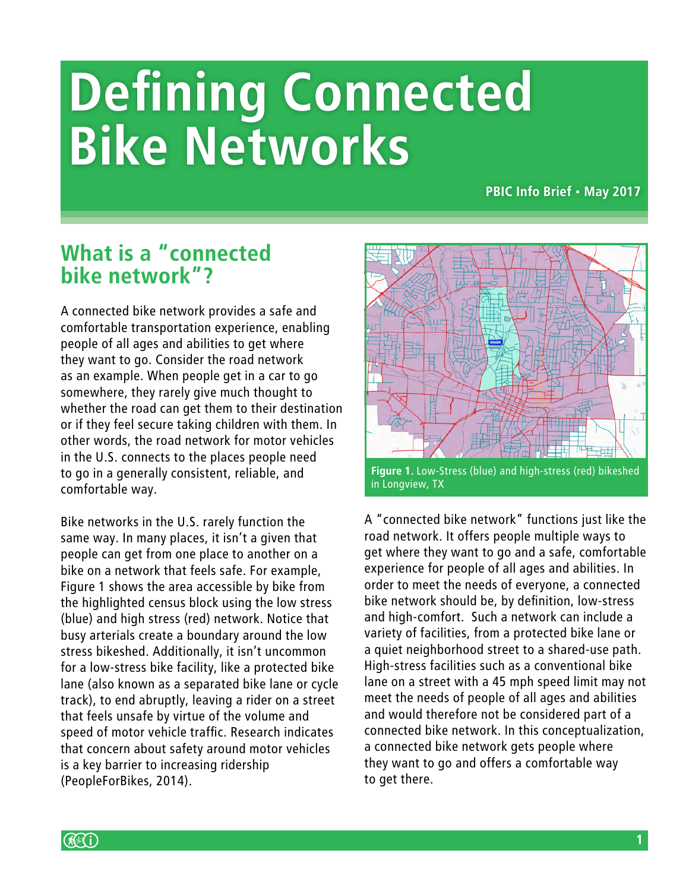# **Defining Connected Bike Networks**

**PBIC Info Brief • May 2017** 

## **What is a "connected bike network"?**

A connected bike network provides a safe and comfortable transportation experience, enabling people of all ages and abilities to get where they want to go. Consider the road network as an example. When people get in a car to go somewhere, they rarely give much thought to whether the road can get them to their destination or if they feel secure taking children with them. In other words, the road network for motor vehicles in the U.S. connects to the places people need to go in a generally consistent, reliable, and comfortable way.

Bike networks in the U.S. rarely function the same way. In many places, it isn't a given that people can get from one place to another on a bike on a network that feels safe. For example, Figure 1 shows the area accessible by bike from the highlighted census block using the low stress (blue) and high stress (red) network. Notice that busy arterials create a boundary around the low stress bikeshed. Additionally, it isn't uncommon for a low-stress bike facility, like a protected bike lane (also known as a separated bike lane or cycle track), to end abruptly, leaving a rider on a street that feels unsafe by virtue of the volume and speed of motor vehicle traffic. Research indicates that concern about safety around motor vehicles is a key barrier to increasing ridership (PeopleForBikes, 2014).



A "connected bike network" functions just like the road network. It offers people multiple ways to get where they want to go and a safe, comfortable experience for people of all ages and abilities. In order to meet the needs of everyone, a connected bike network should be, by definition, low-stress and high-comfort. Such a network can include a variety of facilities, from a protected bike lane or a quiet neighborhood street to a shared-use path. High-stress facilities such as a conventional bike lane on a street with a 45 mph speed limit may not meet the needs of people of all ages and abilities and would therefore not be considered part of a connected bike network. In this conceptualization, a connected bike network gets people where they want to go and offers a comfortable way to get there.

 $(k_{\text{N}})$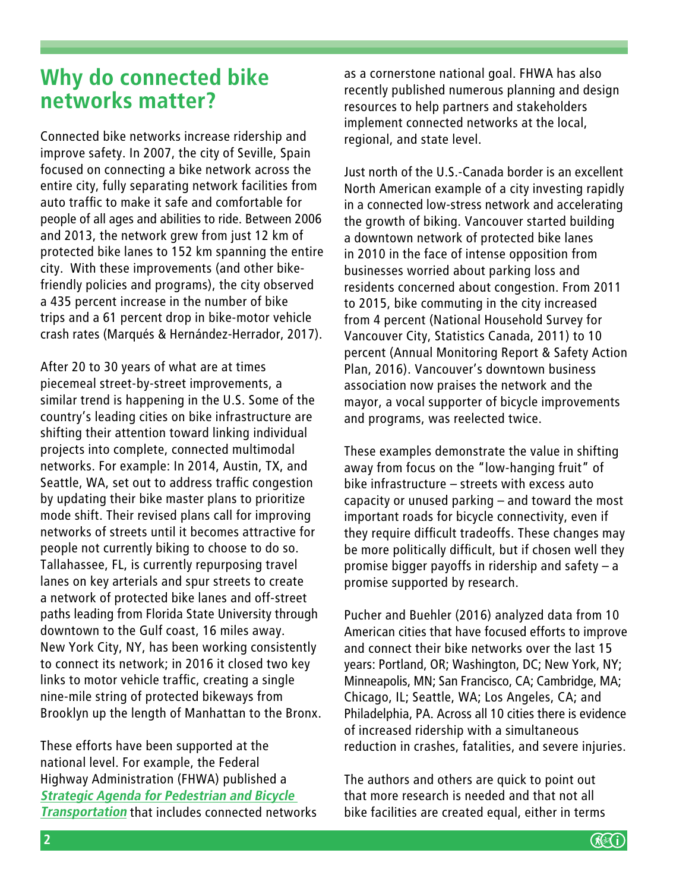## **Why do connected bike networks matter?**

Connected bike networks increase ridership and improve safety. In 2007, the city of Seville, Spain focused on connecting a bike network across the entire city, fully separating network facilities from auto traffic to make it safe and comfortable for people of all ages and abilities to ride. Between 2006 and 2013, the network grew from just 12 km of protected bike lanes to 152 km spanning the entire city. With these improvements (and other bikefriendly policies and programs), the city observed a 435 percent increase in the number of bike trips and a 61 percent drop in bike-motor vehicle crash rates (Marqués & Hernández-Herrador, 2017).

After 20 to 30 years of what are at times piecemeal street-by-street improvements, a similar trend is happening in the U.S. Some of the country's leading cities on bike infrastructure are shifting their attention toward linking individual projects into complete, connected multimodal networks. For example: In 2014, Austin, TX, and Seattle, WA, set out to address traffic congestion by updating their bike master plans to prioritize mode shift. Their revised plans call for improving networks of streets until it becomes attractive for people not currently biking to choose to do so. Tallahassee, FL, is currently repurposing travel lanes on key arterials and spur streets to create a network of protected bike lanes and off-street paths leading from Florida State University through downtown to the Gulf coast, 16 miles away. New York City, NY, has been working consistently to connect its network; in 2016 it closed two key links to motor vehicle traffic, creating a single nine-mile string of protected bikeways from Brooklyn up the length of Manhattan to the Bronx.

These efforts have been supported at the national level. For example, the Federal Highway Administration (FHWA) published a **[Strategic Agenda for Pedestrian and Bicycle](https://www.fhwa.dot.gov/environment/bicycle_pedestrian/publications/strategic_agenda/)  [Transportation](https://www.fhwa.dot.gov/environment/bicycle_pedestrian/publications/strategic_agenda/)** that includes connected networks

as a cornerstone national goal. FHWA has also recently published numerous planning and design resources to help partners and stakeholders implement connected networks at the local, regional, and state level.

Just north of the U.S.-Canada border is an excellent North American example of a city investing rapidly in a connected low-stress network and accelerating the growth of biking. Vancouver started building a downtown network of protected bike lanes in 2010 in the face of intense opposition from businesses worried about parking loss and residents concerned about congestion. From 2011 to 2015, bike commuting in the city increased from 4 percent (National Household Survey for Vancouver City, Statistics Canada, 2011) to 10 percent (Annual Monitoring Report & Safety Action Plan, 2016). Vancouver's downtown business association now praises the network and the mayor, a vocal supporter of bicycle improvements and programs, was reelected twice.

These examples demonstrate the value in shifting away from focus on the "low-hanging fruit" of bike infrastructure – streets with excess auto capacity or unused parking – and toward the most important roads for bicycle connectivity, even if they require difficult tradeoffs. These changes may be more politically difficult, but if chosen well they promise bigger payoffs in ridership and safety – a promise supported by research.

Pucher and Buehler (2016) analyzed data from 10 American cities that have focused efforts to improve and connect their bike networks over the last 15 years: Portland, OR; Washington, DC; New York, NY; Minneapolis, MN; San Francisco, CA; Cambridge, MA; Chicago, IL; Seattle, WA; Los Angeles, CA; and Philadelphia, PA. Across all 10 cities there is evidence of increased ridership with a simultaneous reduction in crashes, fatalities, and severe injuries.

The authors and others are quick to point out that more research is needed and that not all bike facilities are created equal, either in terms

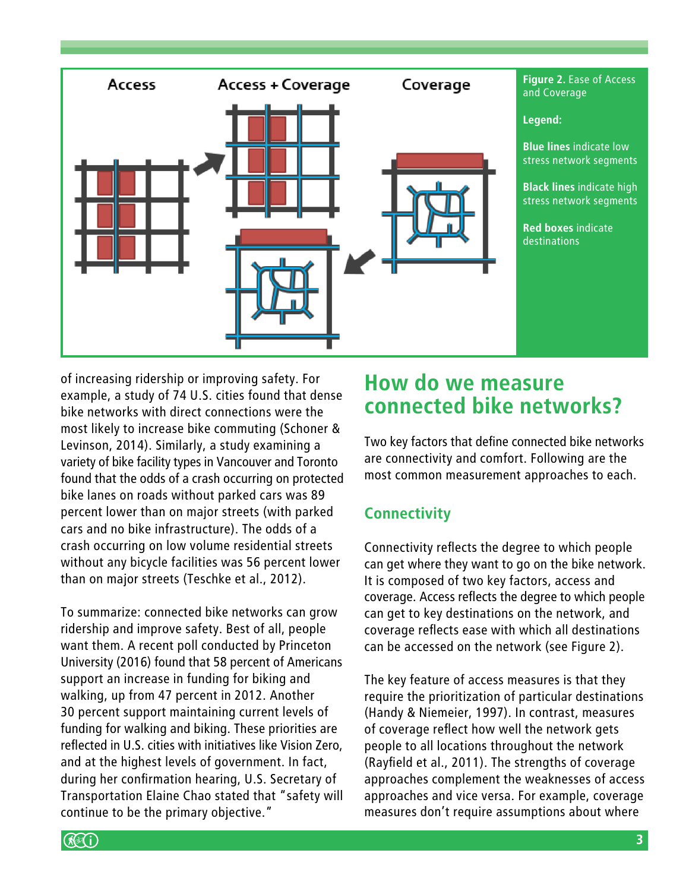

of increasing ridership or improving safety. For example, a study of 74 U.S. cities found that dense bike networks with direct connections were the most likely to increase bike commuting (Schoner & Levinson, 2014). Similarly, a study examining a variety of bike facility types in Vancouver and Toronto found that the odds of a crash occurring on protected bike lanes on roads without parked cars was 89 percent lower than on major streets (with parked cars and no bike infrastructure). The odds of a crash occurring on low volume residential streets without any bicycle facilities was 56 percent lower than on major streets (Teschke et al., 2012).

To summarize: connected bike networks can grow ridership and improve safety. Best of all, people want them. A recent poll conducted by Princeton University (2016) found that 58 percent of Americans support an increase in funding for biking and walking, up from 47 percent in 2012. Another 30 percent support maintaining current levels of funding for walking and biking. These priorities are reflected in U.S. cities with initiatives like Vision Zero, and at the highest levels of government. In fact, during her confirmation hearing, U.S. Secretary of Transportation Elaine Chao stated that "safety will continue to be the primary objective."

## **How do we measure connected bike networks?**

Two key factors that define connected bike networks are connectivity and comfort. Following are the most common measurement approaches to each.

#### **Connectivity**

Connectivity reflects the degree to which people can get where they want to go on the bike network. It is composed of two key factors, access and coverage. Access reflects the degree to which people can get to key destinations on the network, and coverage reflects ease with which all destinations can be accessed on the network (see Figure 2).

The key feature of access measures is that they require the prioritization of particular destinations (Handy & Niemeier, 1997). In contrast, measures of coverage reflect how well the network gets people to all locations throughout the network (Rayfield et al., 2011). The strengths of coverage approaches complement the weaknesses of access approaches and vice versa. For example, coverage measures don't require assumptions about where

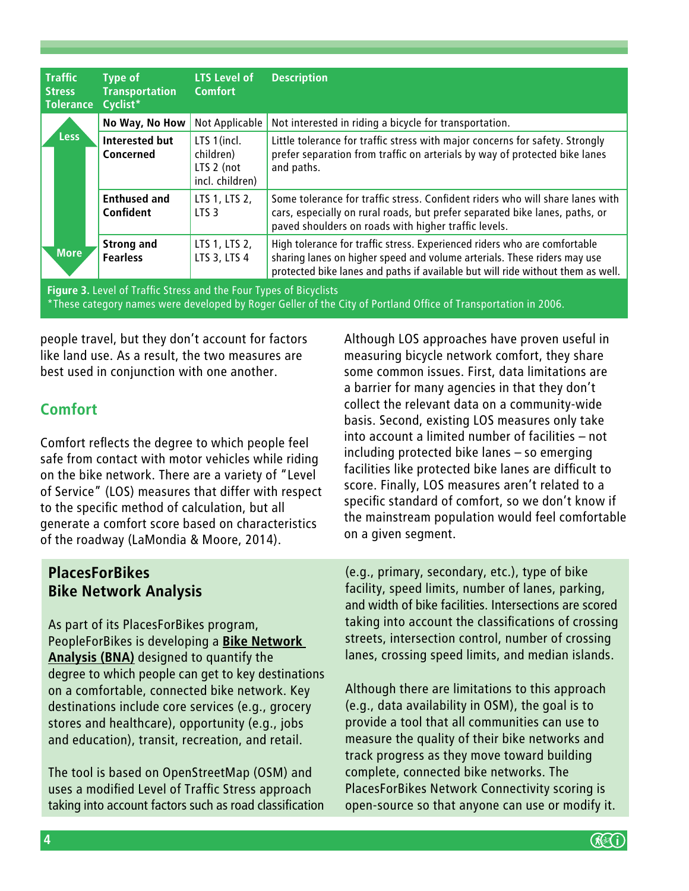| <b>Traffic</b><br><b>Stress</b><br><b>Tolerance</b>                       | Type of<br><b>Transportation</b><br>Cyclist* | <b>LTS Level of</b><br><b>Comfort</b>                     | <b>Description</b>                                                                                                                                                                                                                       |
|---------------------------------------------------------------------------|----------------------------------------------|-----------------------------------------------------------|------------------------------------------------------------------------------------------------------------------------------------------------------------------------------------------------------------------------------------------|
| Less,<br><b>More</b>                                                      | No Way, No How                               | Not Applicable                                            | Not interested in riding a bicycle for transportation.                                                                                                                                                                                   |
|                                                                           | Interested but<br>Concerned                  | LTS 1(incl.<br>children)<br>LTS 2 (not<br>incl. children) | Little tolerance for traffic stress with major concerns for safety. Strongly<br>prefer separation from traffic on arterials by way of protected bike lanes<br>and paths.                                                                 |
|                                                                           | <b>Enthused and</b><br>Confident             | LTS 1, LTS 2,<br>LTS <sub>3</sub>                         | Some tolerance for traffic stress. Confident riders who will share lanes with<br>cars, especially on rural roads, but prefer separated bike lanes, paths, or<br>paved shoulders on roads with higher traffic levels.                     |
|                                                                           | <b>Strong and</b><br><b>Fearless</b>         | LTS 1, LTS 2,<br>LTS 3, LTS 4                             | High tolerance for traffic stress. Experienced riders who are comfortable<br>sharing lanes on higher speed and volume arterials. These riders may use<br>protected bike lanes and paths if available but will ride without them as well. |
| <b>Figure 3.</b> Level of Traffic Stress and the Four Types of Bicyclists |                                              |                                                           |                                                                                                                                                                                                                                          |

\*These category names were developed by Roger Geller of the City of Portland Office of Transportation in 2006.

people travel, but they don't account for factors like land use. As a result, the two measures are best used in conjunction with one another.

### **Comfort**

Comfort reflects the degree to which people feel safe from contact with motor vehicles while riding on the bike network. There are a variety of "Level of Service" (LOS) measures that differ with respect to the specific method of calculation, but all generate a comfort score based on characteristics of the roadway (LaMondia & Moore, 2014).

#### **PlacesForBikes Bike Network Analysis**

As part of its PlacesForBikes program, PeopleForBikes is developing a **[Bike Network](http://www.peopleforbikes.org/placesforbikes/pages/city-snapshot)  [Analysis \(BNA\)](http://www.peopleforbikes.org/placesforbikes/pages/city-snapshot)** designed to quantify the degree to which people can get to key destinations on a comfortable, connected bike network. Key destinations include core services (e.g., grocery stores and healthcare), opportunity (e.g., jobs and education), transit, recreation, and retail.

The tool is based on OpenStreetMap (OSM) and uses a modified Level of Traffic Stress approach taking into account factors such as road classification Although LOS approaches have proven useful in measuring bicycle network comfort, they share some common issues. First, data limitations are a barrier for many agencies in that they don't collect the relevant data on a community-wide basis. Second, existing LOS measures only take into account a limited number of facilities – not including protected bike lanes – so emerging facilities like protected bike lanes are difficult to score. Finally, LOS measures aren't related to a specific standard of comfort, so we don't know if the mainstream population would feel comfortable on a given segment.

(e.g., primary, secondary, etc.), type of bike facility, speed limits, number of lanes, parking, and width of bike facilities. Intersections are scored taking into account the classifications of crossing streets, intersection control, number of crossing lanes, crossing speed limits, and median islands.

Although there are limitations to this approach (e.g., data availability in OSM), the goal is to provide a tool that all communities can use to measure the quality of their bike networks and track progress as they move toward building complete, connected bike networks. The PlacesForBikes Network Connectivity scoring is open-source so that anyone can use or modify it.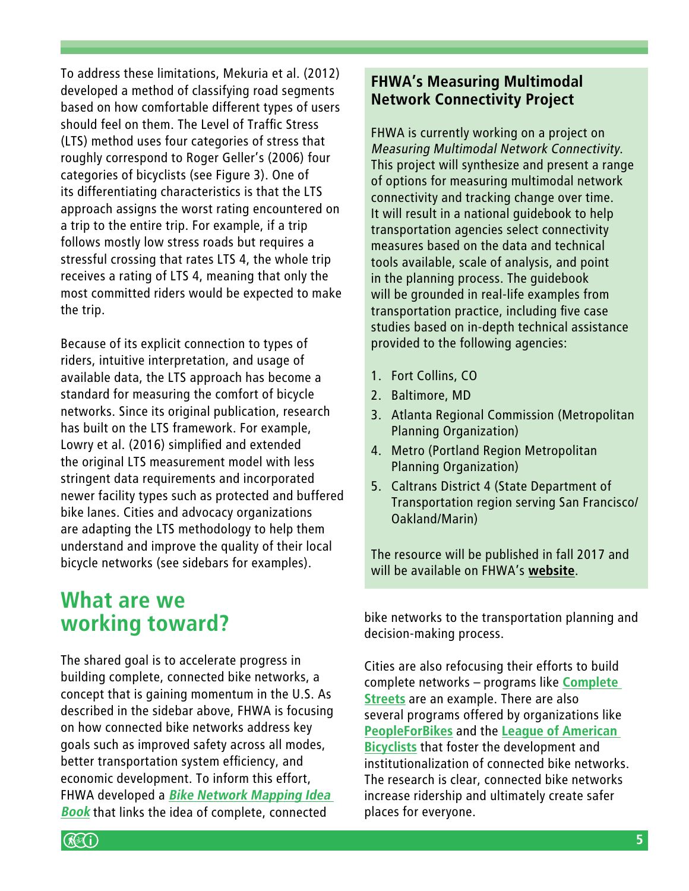To address these limitations, Mekuria et al. (2012) developed a method of classifying road segments based on how comfortable different types of users should feel on them. The Level of Traffic Stress (LTS) method uses four categories of stress that roughly correspond to Roger Geller's (2006) four categories of bicyclists (see Figure 3). One of its differentiating characteristics is that the LTS approach assigns the worst rating encountered on a trip to the entire trip. For example, if a trip follows mostly low stress roads but requires a stressful crossing that rates LTS 4, the whole trip receives a rating of LTS 4, meaning that only the most committed riders would be expected to make the trip.

Because of its explicit connection to types of riders, intuitive interpretation, and usage of available data, the LTS approach has become a standard for measuring the comfort of bicycle networks. Since its original publication, research has built on the LTS framework. For example, Lowry et al. (2016) simplified and extended the original LTS measurement model with less stringent data requirements and incorporated newer facility types such as protected and buffered bike lanes. Cities and advocacy organizations are adapting the LTS methodology to help them understand and improve the quality of their local bicycle networks (see sidebars for examples).

## **What are we working toward?**

The shared goal is to accelerate progress in building complete, connected bike networks, a concept that is gaining momentum in the U.S. As described in the sidebar above, FHWA is focusing on how connected bike networks address key goals such as improved safety across all modes, better transportation system efficiency, and economic development. To inform this effort, FHWA developed a **[Bike Network Mapping Idea](https://www.fhwa.dot.gov/environment/bicycle_pedestrian/publications/bikemap_book/)  [Book](https://www.fhwa.dot.gov/environment/bicycle_pedestrian/publications/bikemap_book/)** that links the idea of complete, connected

#### **FHWA's Measuring Multimodal Network Connectivity Project**

FHWA is currently working on a project on Measuring Multimodal Network Connectivity. This project will synthesize and present a range of options for measuring multimodal network connectivity and tracking change over time. It will result in a national guidebook to help transportation agencies select connectivity measures based on the data and technical tools available, scale of analysis, and point in the planning process. The guidebook will be grounded in real-life examples from transportation practice, including five case studies based on in-depth technical assistance provided to the following agencies:

- 1. Fort Collins, CO
- 2. Baltimore, MD
- 3. Atlanta Regional Commission (Metropolitan Planning Organization)
- 4. Metro (Portland Region Metropolitan Planning Organization)
- 5. Caltrans District 4 (State Department of Transportation region serving San Francisco/ Oakland/Marin)

The resource will be published in fall 2017 and will be available on FHWA's **[website](https://www.fhwa.dot.gov/environment/bicycle_pedestrian/publications/bikemap_book/)**.

bike networks to the transportation planning and decision-making process.

Cities are also refocusing their efforts to build complete networks – programs like **[Complete](https://smartgrowthamerica.org/program/national-complete-streets-coalition/what-are-complete-streets/)  [Streets](https://smartgrowthamerica.org/program/national-complete-streets-coalition/what-are-complete-streets/)** are an example. There are also several programs offered by organizations like **[PeopleForBikes](http://www.peopleforbikes.org/placesforbikes/)** and the **[League of American](http://www.bikeleague.org/bfa)  [Bicyclists](http://www.bikeleague.org/bfa)** that foster the development and institutionalization of connected bike networks. The research is clear, connected bike networks increase ridership and ultimately create safer places for everyone.